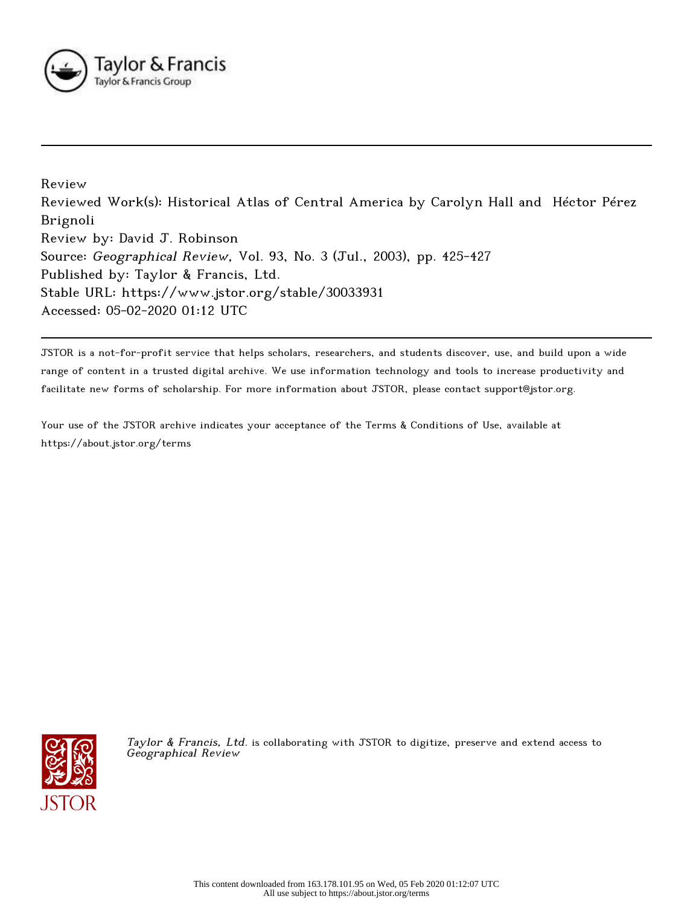

Review Reviewed Work(s): Historical Atlas of Central America by Carolyn Hall and Héctor Pérez Brignoli Review by: David J. Robinson Source: Geographical Review, Vol. 93, No. 3 (Jul., 2003), pp. 425-427 Published by: Taylor & Francis, Ltd. Stable URL: https://www.jstor.org/stable/30033931 Accessed: 05-02-2020 01:12 UTC

JSTOR is a not-for-profit service that helps scholars, researchers, and students discover, use, and build upon a wide range of content in a trusted digital archive. We use information technology and tools to increase productivity and facilitate new forms of scholarship. For more information about JSTOR, please contact support@jstor.org.

Your use of the JSTOR archive indicates your acceptance of the Terms & Conditions of Use, available at https://about.jstor.org/terms



Taylor & Francis, Ltd. is collaborating with JSTOR to digitize, preserve and extend access to Geographical Review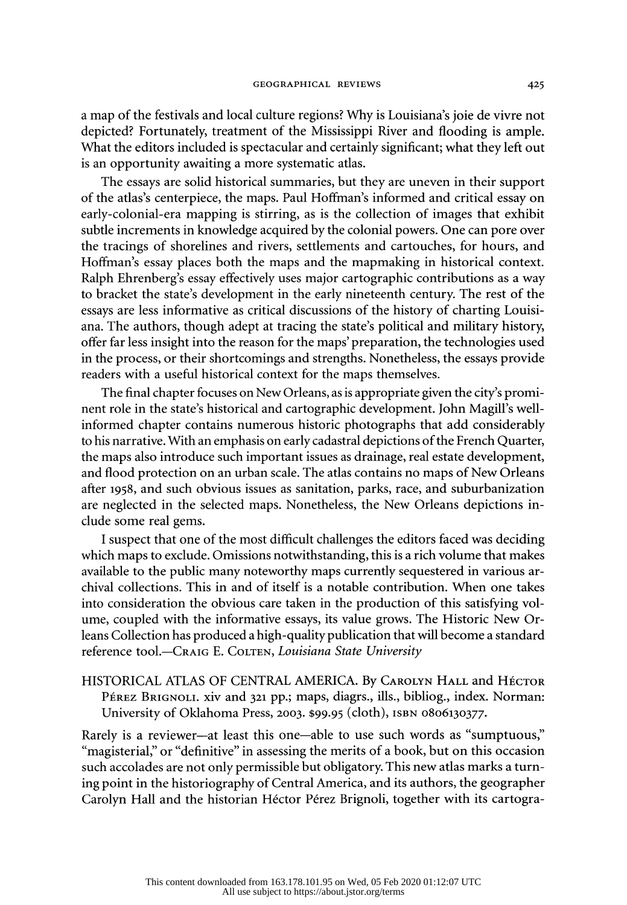a map of the festivals and local culture regions? Why is Louisiana's joie de vivre not depicted? Fortunately, treatment of the Mississippi River and flooding is ample. What the editors included is spectacular and certainly significant; what they left out is an opportunity awaiting a more systematic atlas.

 The essays are solid historical summaries, but they are uneven in their support of the atlas's centerpiece, the maps. Paul Hoffman's informed and critical essay on early-colonial-era mapping is stirring, as is the collection of images that exhibit subtle increments in knowledge acquired by the colonial powers. One can pore over the tracings of shorelines and rivers, settlements and cartouches, for hours, and Hoffman's essay places both the maps and the mapmaking in historical context. Ralph Ehrenberg's essay effectively uses major cartographic contributions as a way to bracket the state's development in the early nineteenth century. The rest of the essays are less informative as critical discussions of the history of charting Louisi ana. The authors, though adept at tracing the state's political and military history, offer far less insight into the reason for the maps' preparation, the technologies used in the process, or their shortcomings and strengths. Nonetheless, the essays provide readers with a useful historical context for the maps themselves.

 The final chapter focuses on New Orleans, as is appropriate given the city's promi nent role in the state's historical and cartographic development. John Magill's well informed chapter contains numerous historic photographs that add considerably to his narrative. With an emphasis on early cadastral depictions of the French Quarter, the maps also introduce such important issues as drainage, real estate development, and flood protection on an urban scale. The atlas contains no maps of New Orleans after 1958, and such obvious issues as sanitation, parks, race, and suburbanization are neglected in the selected maps. Nonetheless, the New Orleans depictions in clude some real gems.

 I suspect that one of the most difficult challenges the editors faced was deciding which maps to exclude. Omissions notwithstanding, this is a rich volume that makes available to the public many noteworthy maps currently sequestered in various ar chival collections. This in and of itself is a notable contribution. When one takes into consideration the obvious care taken in the production of this satisfying vol ume, coupled with the informative essays, its value grows. The Historic New Or leans Collection has produced a high-quality publication that will become a standard reference tool.-CRAIG E. COLTEN, Louisiana State University

## HISTORICAL ATLAS OF CENTRAL AMERICA. By CAROLYN HALL and HÉCTOR PÉREZ BRIGNOLI. xiv and 321 pp.; maps, diagrs., ills., bibliog., index. Norman: University of Oklahoma Press, 2003. \$99.95 (cloth), ISBN 0806130377.

Rarely is a reviewer—at least this one—able to use such words as "sumptuous," "magisterial," or "definitive" in assessing the merits of a book, but on this occasion such accolades are not only permissible but obligatory. This new atlas marks a turn ing point in the historiography of Central America, and its authors, the geographer Carolyn Hall and the historian Héctor Pérez Brignoli, together with its cartogra-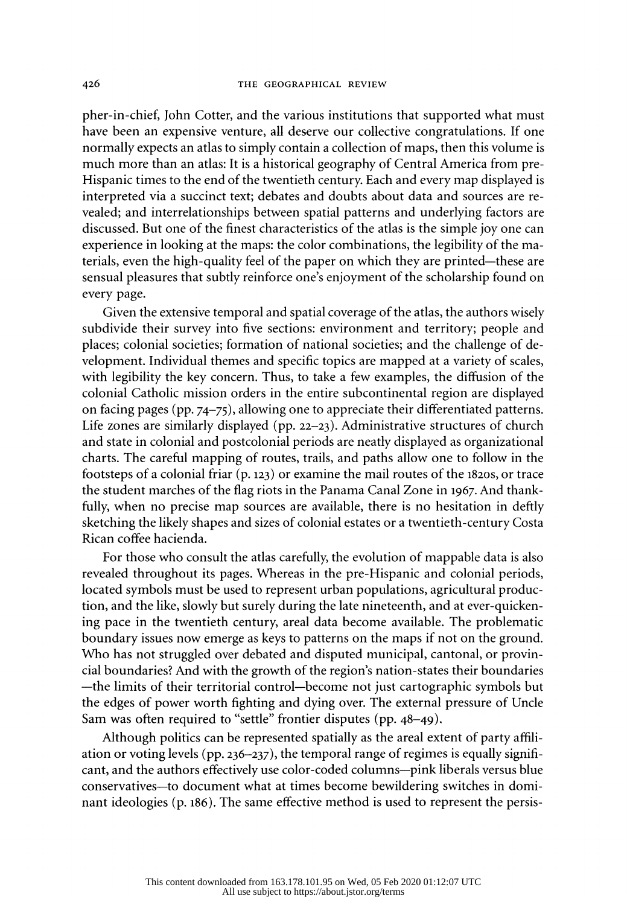pher-in-chief, John Cotter, and the various institutions that supported what must have been an expensive venture, all deserve our collective congratulations. If one normally expects an atlas to simply contain a collection of maps, then this volume is much more than an atlas: It is a historical geography of Central America from pre- Hispanic times to the end of the twentieth century. Each and every map displayed is interpreted via a succinct text; debates and doubts about data and sources are re vealed; and interrelationships between spatial patterns and underlying factors are discussed. But one of the finest characteristics of the atlas is the simple joy one can experience in looking at the maps: the color combinations, the legibility of the ma terials, even the high-quality feel of the paper on which they are printed-these are sensual pleasures that subtly reinforce one's enjoyment of the scholarship found on every page.

 Given the extensive temporal and spatial coverage of the atlas, the authors wisely subdivide their survey into five sections: environment and territory; people and places; colonial societies; formation of national societies; and the challenge of de velopment. Individual themes and specific topics are mapped at a variety of scales, with legibility the key concern. Thus, to take a few examples, the diffusion of the colonial Catholic mission orders in the entire subcontinental region are displayed on facing pages (pp. 74-75), allowing one to appreciate their differentiated patterns. Life zones are similarly displayed (pp. 22-23). Administrative structures of church and state in colonial and postcolonial periods are neatly displayed as organizational charts. The careful mapping of routes, trails, and paths allow one to follow in the footsteps of a colonial friar  $(p, 123)$  or examine the mail routes of the 1820s, or trace the student marches of the flag riots in the Panama Canal Zone in 1967. And thank fully, when no precise map sources are available, there is no hesitation in deftly sketching the likely shapes and sizes of colonial estates or a twentieth-century Costa Rican coffee hacienda.

 For those who consult the atlas carefully, the evolution of mappable data is also revealed throughout its pages. Whereas in the pre-Hispanic and colonial periods, located symbols must be used to represent urban populations, agricultural produc tion, and the like, slowly but surely during the late nineteenth, and at ever-quicken ing pace in the twentieth century, areal data become available. The problematic boundary issues now emerge as keys to patterns on the maps if not on the ground. Who has not struggled over debated and disputed municipal, cantonal, or provin cial boundaries? And with the growth of the region's nation-states their boundaries -the limits of their territorial control-become not just cartographic symbols but the edges of power worth fighting and dying over. The external pressure of Uncle Sam was often required to "settle" frontier disputes (pp. 48-49).

 Although politics can be represented spatially as the areal extent of party affili ation or voting levels (pp. 236–237), the temporal range of regimes is equally significant, and the authors effectively use color-coded columns--pink liberals versus blue conservatives-to document what at times become bewildering switches in domi nant ideologies (p. 186). The same effective method is used to represent the persis